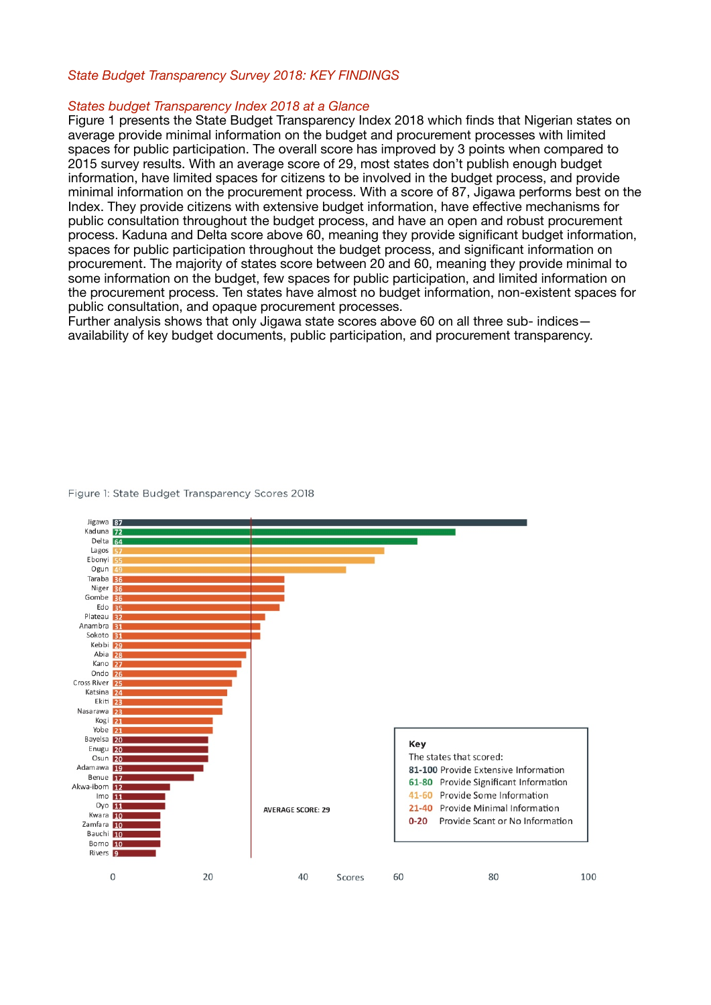# *State Budget Transparency Survey 2018: KEY FINDINGS*

## *States budget Transparency Index 2018 at a Glance*

Figure 1 presents the State Budget Transparency Index 2018 which finds that Nigerian states on average provide minimal information on the budget and procurement processes with limited spaces for public participation. The overall score has improved by 3 points when compared to 2015 survey results. With an average score of 29, most states don't publish enough budget information, have limited spaces for citizens to be involved in the budget process, and provide minimal information on the procurement process. With a score of 87, Jigawa performs best on the Index. They provide citizens with extensive budget information, have effective mechanisms for public consultation throughout the budget process, and have an open and robust procurement process. Kaduna and Delta score above 60, meaning they provide significant budget information, spaces for public participation throughout the budget process, and significant information on procurement. The majority of states score between 20 and 60, meaning they provide minimal to some information on the budget, few spaces for public participation, and limited information on the procurement process. Ten states have almost no budget information, non-existent spaces for public consultation, and opaque procurement processes.

Further analysis shows that only Jigawa state scores above 60 on all three sub- indices availability of key budget documents, public participation, and procurement transparency.



#### Figure 1: State Budget Transparency Scores 2018